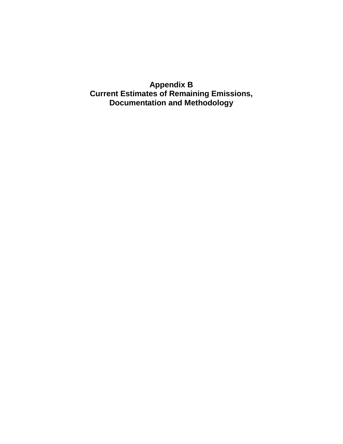**Appendix B Current Estimates of Remaining Emissions, Documentation and Methodology**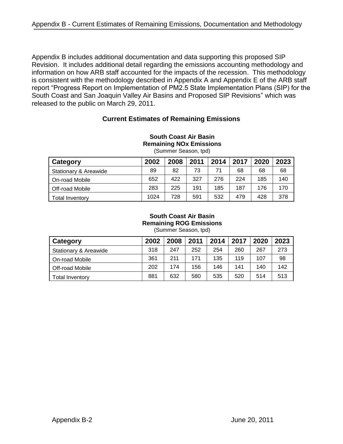Appendix B includes additional documentation and data supporting this proposed SIP Revision. It includes additional detail regarding the emissions accounting methodology and information on how ARB staff accounted for the impacts of the recession. This methodology is consistent with the methodology described in Appendix A and Appendix E of the ARB staff report "Progress Report on Implementation of PM2.5 State Implementation Plans (SIP) for the South Coast and San Joaquin Valley Air Basins and Proposed SIP Revisions" which was released to the public on March 29, 2011.

# **Current Estimates of Remaining Emissions**

| (Summer Season, tpd)             |      |      |      |      |      |      |      |
|----------------------------------|------|------|------|------|------|------|------|
| Category                         | 2002 | 2008 | 2011 | 2014 | 2017 | 2020 | 2023 |
| <b>Stationary &amp; Areawide</b> | 89   | 82   | 73   | 71   | 68   | 68   | 68   |
| On-road Mobile                   | 652  | 422  | 327  | 276  | 224  | 185  | 140  |
| Off-road Mobile                  | 283  | 225  | 191  | 185  | 187  | 176  | 170  |
| <b>Total Inventory</b>           | 1024 | 728  | 591  | 532  | 479  | 428  | 378  |

# **South Coast Air Basin Remaining NOx Emissions**

#### **South Coast Air Basin Remaining ROG Emissions** (Summer Season, tpd)

| Category                         | 2002 | 2008 | 2011 | 2014 | 2017 | 2020 | 2023 |
|----------------------------------|------|------|------|------|------|------|------|
| <b>Stationary &amp; Areawide</b> | 318  | 247  | 252  | 254  | 260  | 267  | 273  |
| On-road Mobile                   | 361  | 211  | 171  | 135  | 119  | 107  | 98   |
| Off-road Mobile                  | 202  | 174  | 156  | 146  | 141  | 140  | 142  |
| Total Inventorv                  | 881  | 632  | 580  | 535  | 520  | 514  | 513  |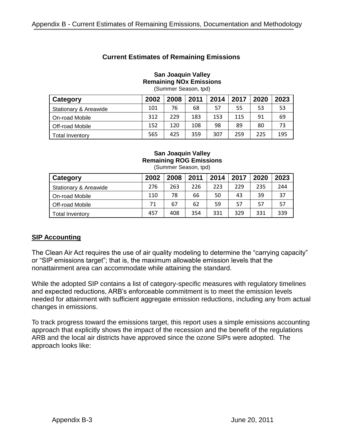# **Current Estimates of Remaining Emissions**

#### **San Joaquin Valley Remaining NOx Emissions**

(Summer Season, tpd)

| Category                         | 2002 | 2008 | 2011 | 2014 | 2017 | 2020 | 2023 |
|----------------------------------|------|------|------|------|------|------|------|
| <b>Stationary &amp; Areawide</b> | 101  | 76   | 68   | 57   | 55   | 53   | 53   |
| On-road Mobile                   | 312  | 229  | 183  | 153  | 115  | 91   | 69   |
| Off-road Mobile                  | 152  | 120  | 108  | 98   | 89   | 80   | 73   |
| Total Inventory                  | 565  | 425  | 359  | 307  | 259  | 225  | 195  |

#### **San Joaquin Valley Remaining ROG Emissions** (Summer Season, tpd)

| Category              | 2002 | 2008 | 2011 | 2014 | 2017 | 2020 | 2023 |
|-----------------------|------|------|------|------|------|------|------|
| Stationary & Areawide | 276  | 263  | 226  | 223  | 229  | 235  | 244  |
| On-road Mobile        | 110  | 78   | 66   | 50   | 43   | 39   | 37   |
| Off-road Mobile       | 71   | 67   | 62   | 59   | 57   | -57  | 57   |
| Total Inventory       | 457  | 408  | 354  | 331  | 329  | 331  | 339  |

# **SIP Accounting**

The Clean Air Act requires the use of air quality modeling to determine the "carrying capacity" or "SIP emissions target"; that is, the maximum allowable emission levels that the nonattainment area can accommodate while attaining the standard.

While the adopted SIP contains a list of category-specific measures with regulatory timelines and expected reductions, ARB's enforceable commitment is to meet the emission levels needed for attainment with sufficient aggregate emission reductions, including any from actual changes in emissions.

To track progress toward the emissions target, this report uses a simple emissions accounting approach that explicitly shows the impact of the recession and the benefit of the regulations ARB and the local air districts have approved since the ozone SIPs were adopted. The approach looks like: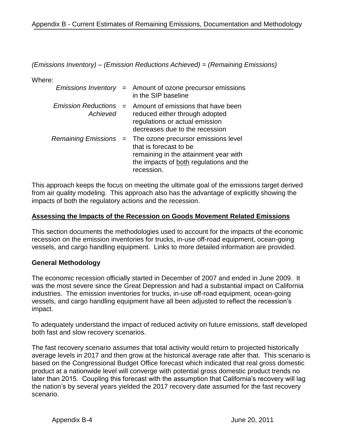*(Emissions Inventory) – (Emission Reductions Achieved) = (Remaining Emissions)*

Where:

|                                        | <i>Emissions Inventory</i> = Amount of ozone precursor emissions<br>in the SIP baseline                                                                                               |
|----------------------------------------|---------------------------------------------------------------------------------------------------------------------------------------------------------------------------------------|
| <b>Emission Reductions</b><br>Achieved | $=$ Amount of emissions that have been<br>reduced either through adopted<br>regulations or actual emission<br>decreases due to the recession                                          |
|                                        | Remaining Emissions = The ozone precursor emissions level<br>that is forecast to be<br>remaining in the attainment year with<br>the impacts of both regulations and the<br>recession. |

This approach keeps the focus on meeting the ultimate goal of the emissions target derived from air quality modeling. This approach also has the advantage of explicitly showing the impacts of both the regulatory actions and the recession.

### **Assessing the Impacts of the Recession on Goods Movement Related Emissions**

This section documents the methodologies used to account for the impacts of the economic recession on the emission inventories for trucks, in-use off-road equipment, ocean-going vessels, and cargo handling equipment. Links to more detailed information are provided.

### **General Methodology**

The economic recession officially started in December of 2007 and ended in June 2009. It was the most severe since the Great Depression and had a substantial impact on California industries. The emission inventories for trucks, in-use off-road equipment, ocean-going vessels, and cargo handling equipment have all been adjusted to reflect the recession's impact.

To adequately understand the impact of reduced activity on future emissions, staff developed both fast and slow recovery scenarios.

The fast recovery scenario assumes that total activity would return to projected historically average levels in 2017 and then grow at the historical average rate after that. This scenario is based on the Congressional Budget Office forecast which indicated that real gross domestic product at a nationwide level will converge with potential gross domestic product trends no later than 2015. Coupling this forecast with the assumption that California's recovery will lag the nation's by several years yielded the 2017 recovery date assumed for the fast recovery scenario.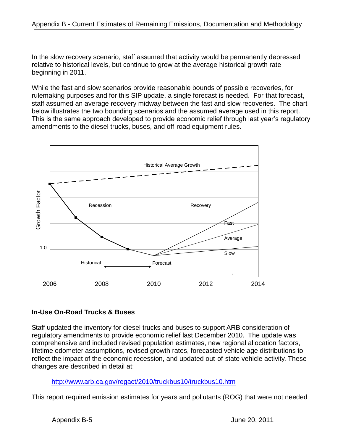In the slow recovery scenario, staff assumed that activity would be permanently depressed relative to historical levels, but continue to grow at the average historical growth rate beginning in 2011.

While the fast and slow scenarios provide reasonable bounds of possible recoveries, for rulemaking purposes and for this SIP update, a single forecast is needed. For that forecast, staff assumed an average recovery midway between the fast and slow recoveries. The chart below illustrates the two bounding scenarios and the assumed average used in this report. This is the same approach developed to provide economic relief through last year's regulatory amendments to the diesel trucks, buses, and off-road equipment rules.



# **In-Use On-Road Trucks & Buses**

Staff updated the inventory for diesel trucks and buses to support ARB consideration of regulatory amendments to provide economic relief last December 2010. The update was comprehensive and included revised population estimates, new regional allocation factors, lifetime odometer assumptions, revised growth rates, forecasted vehicle age distributions to reflect the impact of the economic recession, and updated out-of-state vehicle activity. These changes are described in detail at:

<http://www.arb.ca.gov/regact/2010/truckbus10/truckbus10.htm>

This report required emission estimates for years and pollutants (ROG) that were not needed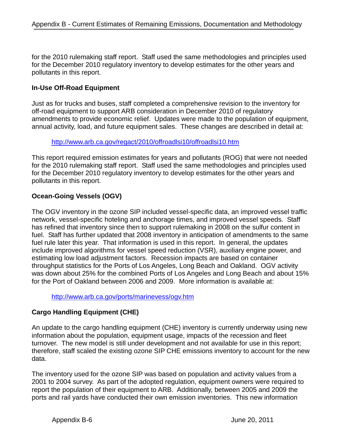for the 2010 rulemaking staff report. Staff used the same methodologies and principles used for the December 2010 regulatory inventory to develop estimates for the other years and pollutants in this report.

# **In-Use Off-Road Equipment**

Just as for trucks and buses, staff completed a comprehensive revision to the inventory for off-road equipment to support ARB consideration in December 2010 of regulatory amendments to provide economic relief. Updates were made to the population of equipment, annual activity, load, and future equipment sales. These changes are described in detail at:

#### <http://www.arb.ca.gov/regact/2010/offroadlsi10/offroadlsi10.htm>

This report required emission estimates for years and pollutants (ROG) that were not needed for the 2010 rulemaking staff report. Staff used the same methodologies and principles used for the December 2010 regulatory inventory to develop estimates for the other years and pollutants in this report.

# **Ocean-Going Vessels (OGV)**

The OGV inventory in the ozone SIP included vessel-specific data, an improved vessel traffic network, vessel-specific hoteling and anchorage times, and improved vessel speeds. Staff has refined that inventory since then to support rulemaking in 2008 on the sulfur content in fuel. Staff has further updated that 2008 inventory in anticipation of amendments to the same fuel rule later this year. That information is used in this report. In general, the updates include improved algorithms for vessel speed reduction (VSR), auxiliary engine power, and estimating low load adjustment factors. Recession impacts are based on container throughput statistics for the Ports of Los Angeles, Long Beach and Oakland. OGV activity was down about 25% for the combined Ports of Los Angeles and Long Beach and about 15% for the Port of Oakland between 2006 and 2009. More information is available at:

<http://www.arb.ca.gov/ports/marinevess/ogv.htm>

# **Cargo Handling Equipment (CHE)**

An update to the cargo handling equipment (CHE) inventory is currently underway using new information about the population, equipment usage, impacts of the recession and fleet turnover. The new model is still under development and not available for use in this report; therefore, staff scaled the existing ozone SIP CHE emissions inventory to account for the new data.

The inventory used for the ozone SIP was based on population and activity values from a 2001 to 2004 survey. As part of the adopted regulation, equipment owners were required to report the population of their equipment to ARB. Additionally, between 2005 and 2009 the ports and rail yards have conducted their own emission inventories. This new information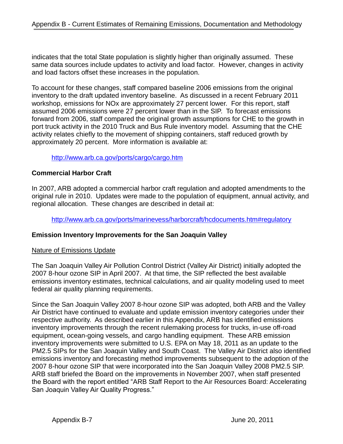indicates that the total State population is slightly higher than originally assumed. These same data sources include updates to activity and load factor. However, changes in activity and load factors offset these increases in the population.

To account for these changes, staff compared baseline 2006 emissions from the original inventory to the draft updated inventory baseline. As discussed in a recent February 2011 workshop, emissions for NOx are approximately 27 percent lower. For this report, staff assumed 2006 emissions were 27 percent lower than in the SIP. To forecast emissions forward from 2006, staff compared the original growth assumptions for CHE to the growth in port truck activity in the 2010 Truck and Bus Rule inventory model. Assuming that the CHE activity relates chiefly to the movement of shipping containers, staff reduced growth by approximately 20 percent. More information is available at:

### <http://www.arb.ca.gov/ports/cargo/cargo.htm>

### **Commercial Harbor Craft**

In 2007, ARB adopted a commercial harbor craft regulation and adopted amendments to the original rule in 2010. Updates were made to the population of equipment, annual activity, and regional allocation. These changes are described in detail at:

<http://www.arb.ca.gov/ports/marinevess/harborcraft/hcdocuments.htm#regulatory>

### **Emission Inventory Improvements for the San Joaquin Valley**

### Nature of Emissions Update

The San Joaquin Valley Air Pollution Control District (Valley Air District) initially adopted the 2007 8-hour ozone SIP in April 2007. At that time, the SIP reflected the best available emissions inventory estimates, technical calculations, and air quality modeling used to meet federal air quality planning requirements.

Since the San Joaquin Valley 2007 8-hour ozone SIP was adopted, both ARB and the Valley Air District have continued to evaluate and update emission inventory categories under their respective authority. As described earlier in this Appendix, ARB has identified emissions inventory improvements through the recent rulemaking process for trucks, in-use off-road equipment, ocean-going vessels, and cargo handling equipment. These ARB emission inventory improvements were submitted to U.S. EPA on May 18, 2011 as an update to the PM2.5 SIPs for the San Joaquin Valley and South Coast. The Valley Air District also identified emissions inventory and forecasting method improvements subsequent to the adoption of the 2007 8-hour ozone SIP that were incorporated into the San Joaquin Valley 2008 PM2.5 SIP. ARB staff briefed the Board on the improvements in November 2007, when staff presented the Board with the report entitled "ARB Staff Report to the Air Resources Board: Accelerating San Joaquin Valley Air Quality Progress."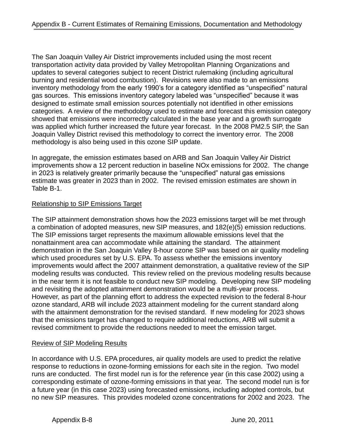The San Joaquin Valley Air District improvements included using the most recent transportation activity data provided by Valley Metropolitan Planning Organizations and updates to several categories subject to recent District rulemaking (including agricultural burning and residential wood combustion). Revisions were also made to an emissions inventory methodology from the early 1990's for a category identified as "unspecified" natural gas sources. This emissions inventory category labeled was "unspecified" because it was designed to estimate small emission sources potentially not identified in other emissions categories. A review of the methodology used to estimate and forecast this emission category showed that emissions were incorrectly calculated in the base year and a growth surrogate was applied which further increased the future year forecast. In the 2008 PM2.5 SIP, the San Joaquin Valley District revised this methodology to correct the inventory error. The 2008 methodology is also being used in this ozone SIP update.

In aggregate, the emission estimates based on ARB and San Joaquin Valley Air District improvements show a 12 percent reduction in baseline NOx emissions for 2002. The change in 2023 is relatively greater primarily because the "unspecified" natural gas emissions estimate was greater in 2023 than in 2002. The revised emission estimates are shown in Table B-1.

# Relationship to SIP Emissions Target

The SIP attainment demonstration shows how the 2023 emissions target will be met through a combination of adopted measures, new SIP measures, and 182(e)(5) emission reductions. The SIP emissions target represents the maximum allowable emissions level that the nonattainment area can accommodate while attaining the standard. The attainment demonstration in the San Joaquin Valley 8-hour ozone SIP was based on air quality modeling which used procedures set by U.S. EPA. To assess whether the emissions inventory improvements would affect the 2007 attainment demonstration, a qualitative review of the SIP modeling results was conducted. This review relied on the previous modeling results because in the near term it is not feasible to conduct new SIP modeling. Developing new SIP modeling and revisiting the adopted attainment demonstration would be a multi-year process. However, as part of the planning effort to address the expected revision to the federal 8-hour ozone standard, ARB will include 2023 attainment modeling for the current standard along with the attainment demonstration for the revised standard. If new modeling for 2023 shows that the emissions target has changed to require additional reductions, ARB will submit a revised commitment to provide the reductions needed to meet the emission target.

### Review of SIP Modeling Results

In accordance with U.S. EPA procedures, air quality models are used to predict the relative response to reductions in ozone-forming emissions for each site in the region. Two model runs are conducted. The first model run is for the reference year (in this case 2002) using a corresponding estimate of ozone-forming emissions in that year. The second model run is for a future year (in this case 2023) using forecasted emissions, including adopted controls, but no new SIP measures. This provides modeled ozone concentrations for 2002 and 2023. The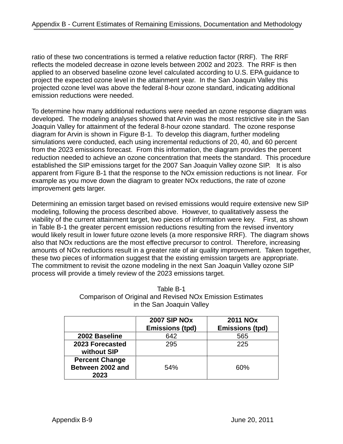ratio of these two concentrations is termed a relative reduction factor (RRF). The RRF reflects the modeled decrease in ozone levels between 2002 and 2023. The RRF is then applied to an observed baseline ozone level calculated according to U.S. EPA guidance to project the expected ozone level in the attainment year. In the San Joaquin Valley this projected ozone level was above the federal 8-hour ozone standard, indicating additional emission reductions were needed.

To determine how many additional reductions were needed an ozone response diagram was developed. The modeling analyses showed that Arvin was the most restrictive site in the San Joaquin Valley for attainment of the federal 8-hour ozone standard. The ozone response diagram for Arvin is shown in Figure B-1. To develop this diagram, further modeling simulations were conducted, each using incremental reductions of 20, 40, and 60 percent from the 2023 emissions forecast. From this information, the diagram provides the percent reduction needed to achieve an ozone concentration that meets the standard. This procedure established the SIP emissions target for the 2007 San Joaquin Valley ozone SIP. It is also apparent from Figure B-1 that the response to the NOx emission reductions is not linear. For example as you move down the diagram to greater NOx reductions, the rate of ozone improvement gets larger.

Determining an emission target based on revised emissions would require extensive new SIP modeling, following the process described above. However, to qualitatively assess the viability of the current attainment target, two pieces of information were key. First, as shown in Table B-1 the greater percent emission reductions resulting from the revised inventory would likely result in lower future ozone levels (a more responsive RRF). The diagram shows also that NOx reductions are the most effective precursor to control. Therefore, increasing amounts of NOx reductions result in a greater rate of air quality improvement. Taken together, these two pieces of information suggest that the existing emission targets are appropriate. The commitment to revisit the ozone modeling in the next San Joaquin Valley ozone SIP process will provide a timely review of the 2023 emissions target.

| Table B-1                                                        |
|------------------------------------------------------------------|
| <b>Comparison of Original and Revised NOx Emission Estimates</b> |
| in the San Joaquin Valley                                        |

|                                                   | <b>2007 SIP NOX</b><br><b>Emissions (tpd)</b> | <b>2011 NOx</b><br><b>Emissions (tpd)</b> |
|---------------------------------------------------|-----------------------------------------------|-------------------------------------------|
| 2002 Baseline                                     | 642                                           | 565                                       |
| 2023 Forecasted<br>without SIP                    | 295                                           | 225                                       |
| <b>Percent Change</b><br>Between 2002 and<br>2023 | 54%                                           | 60%                                       |